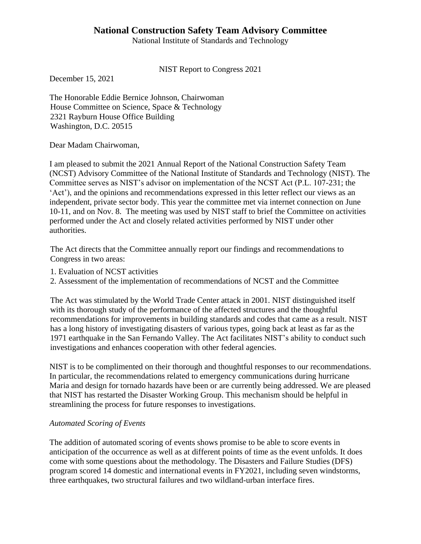National Institute of Standards and Technology

NIST Report to Congress 2021

December 15, 2021

The Honorable Eddie Bernice Johnson, Chairwoman House Committee on Science, Space & Technology 2321 Rayburn House Office Building Washington, D.C. 20515

Dear Madam Chairwoman,

I am pleased to submit the 2021 Annual Report of the National Construction Safety Team (NCST) Advisory Committee of the National Institute of Standards and Technology (NIST). The Committee serves as NIST's advisor on implementation of the NCST Act (P.L. 107-231; the 'Act'), and the opinions and recommendations expressed in this letter reflect our views as an independent, private sector body. This year the committee met via internet connection on June 10-11, and on Nov. 8. The meeting was used by NIST staff to brief the Committee on activities performed under the Act and closely related activities performed by NIST under other authorities.

The Act directs that the Committee annually report our findings and recommendations to Congress in two areas:

- 1. Evaluation of NCST activities
- 2. Assessment of the implementation of recommendations of NCST and the Committee

The Act was stimulated by the World Trade Center attack in 2001. NIST distinguished itself with its thorough study of the performance of the affected structures and the thoughtful recommendations for improvements in building standards and codes that came as a result. NIST has a long history of investigating disasters of various types, going back at least as far as the 1971 earthquake in the San Fernando Valley. The Act facilitates NIST's ability to conduct such investigations and enhances cooperation with other federal agencies.

NIST is to be complimented on their thorough and thoughtful responses to our recommendations. In particular, the recommendations related to emergency communications during hurricane Maria and design for tornado hazards have been or are currently being addressed. We are pleased that NIST has restarted the Disaster Working Group. This mechanism should be helpful in streamlining the process for future responses to investigations.

## *Automated Scoring of Events*

The addition of automated scoring of events shows promise to be able to score events in anticipation of the occurrence as well as at different points of time as the event unfolds. It does come with some questions about the methodology. The Disasters and Failure Studies (DFS) program scored 14 domestic and international events in FY2021, including seven windstorms, three earthquakes, two structural failures and two wildland-urban interface fires.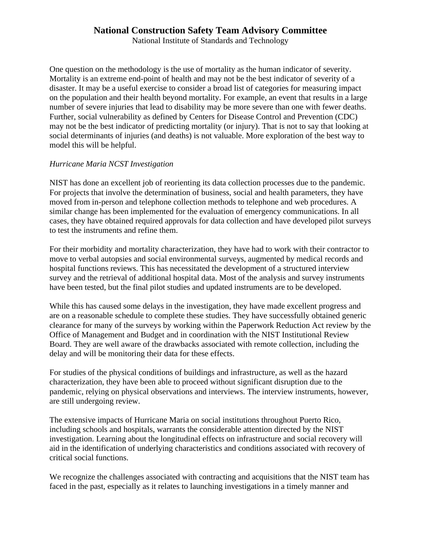National Institute of Standards and Technology

One question on the methodology is the use of mortality as the human indicator of severity. Mortality is an extreme end-point of health and may not be the best indicator of severity of a disaster. It may be a useful exercise to consider a broad list of categories for measuring impact on the population and their health beyond mortality. For example, an event that results in a large number of severe injuries that lead to disability may be more severe than one with fewer deaths. Further, social vulnerability as defined by Centers for Disease Control and Prevention (CDC) may not be the best indicator of predicting mortality (or injury). That is not to say that looking at social determinants of injuries (and deaths) is not valuable. More exploration of the best way to model this will be helpful.

## *Hurricane Maria NCST Investigation*

NIST has done an excellent job of reorienting its data collection processes due to the pandemic. For projects that involve the determination of business, social and health parameters, they have moved from in-person and telephone collection methods to telephone and web procedures. A similar change has been implemented for the evaluation of emergency communications. In all cases, they have obtained required approvals for data collection and have developed pilot surveys to test the instruments and refine them.

For their morbidity and mortality characterization, they have had to work with their contractor to move to verbal autopsies and social environmental surveys, augmented by medical records and hospital functions reviews. This has necessitated the development of a structured interview survey and the retrieval of additional hospital data. Most of the analysis and survey instruments have been tested, but the final pilot studies and updated instruments are to be developed.

While this has caused some delays in the investigation, they have made excellent progress and are on a reasonable schedule to complete these studies. They have successfully obtained generic clearance for many of the surveys by working within the Paperwork Reduction Act review by the Office of Management and Budget and in coordination with the NIST Institutional Review Board. They are well aware of the drawbacks associated with remote collection, including the delay and will be monitoring their data for these effects.

For studies of the physical conditions of buildings and infrastructure, as well as the hazard characterization, they have been able to proceed without significant disruption due to the pandemic, relying on physical observations and interviews. The interview instruments, however, are still undergoing review.

The extensive impacts of Hurricane Maria on social institutions throughout Puerto Rico, including schools and hospitals, warrants the considerable attention directed by the NIST investigation. Learning about the longitudinal effects on infrastructure and social recovery will aid in the identification of underlying characteristics and conditions associated with recovery of critical social functions.

We recognize the challenges associated with contracting and acquisitions that the NIST team has faced in the past, especially as it relates to launching investigations in a timely manner and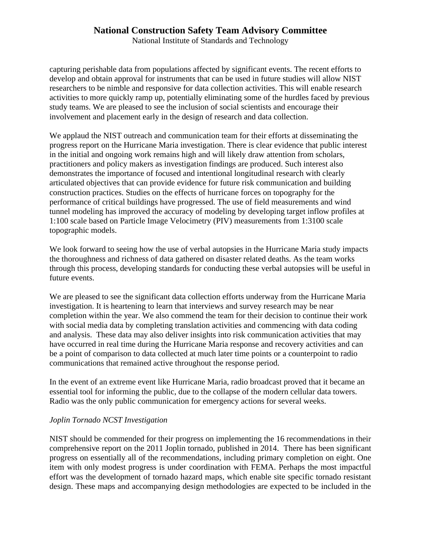National Institute of Standards and Technology

capturing perishable data from populations affected by significant events. The recent efforts to develop and obtain approval for instruments that can be used in future studies will allow NIST researchers to be nimble and responsive for data collection activities. This will enable research activities to more quickly ramp up, potentially eliminating some of the hurdles faced by previous study teams. We are pleased to see the inclusion of social scientists and encourage their involvement and placement early in the design of research and data collection.

We applaud the NIST outreach and communication team for their efforts at disseminating the progress report on the Hurricane Maria investigation. There is clear evidence that public interest in the initial and ongoing work remains high and will likely draw attention from scholars, practitioners and policy makers as investigation findings are produced. Such interest also demonstrates the importance of focused and intentional longitudinal research with clearly articulated objectives that can provide evidence for future risk communication and building construction practices. Studies on the effects of hurricane forces on topography for the performance of critical buildings have progressed. The use of field measurements and wind tunnel modeling has improved the accuracy of modeling by developing target inflow profiles at 1:100 scale based on Particle Image Velocimetry (PIV) measurements from 1:3100 scale topographic models.

We look forward to seeing how the use of verbal autopsies in the Hurricane Maria study impacts the thoroughness and richness of data gathered on disaster related deaths. As the team works through this process, developing standards for conducting these verbal autopsies will be useful in future events.

We are pleased to see the significant data collection efforts underway from the Hurricane Maria investigation. It is heartening to learn that interviews and survey research may be near completion within the year. We also commend the team for their decision to continue their work with social media data by completing translation activities and commencing with data coding and analysis. These data may also deliver insights into risk communication activities that may have occurred in real time during the Hurricane Maria response and recovery activities and can be a point of comparison to data collected at much later time points or a counterpoint to radio communications that remained active throughout the response period.

In the event of an extreme event like Hurricane Maria, radio broadcast proved that it became an essential tool for informing the public, due to the collapse of the modern cellular data towers. Radio was the only public communication for emergency actions for several weeks.

## *Joplin Tornado NCST Investigation*

NIST should be commended for their progress on implementing the 16 recommendations in their comprehensive report on the 2011 Joplin tornado, published in 2014. There has been significant progress on essentially all of the recommendations, including primary completion on eight. One item with only modest progress is under coordination with FEMA. Perhaps the most impactful effort was the development of tornado hazard maps, which enable site specific tornado resistant design. These maps and accompanying design methodologies are expected to be included in the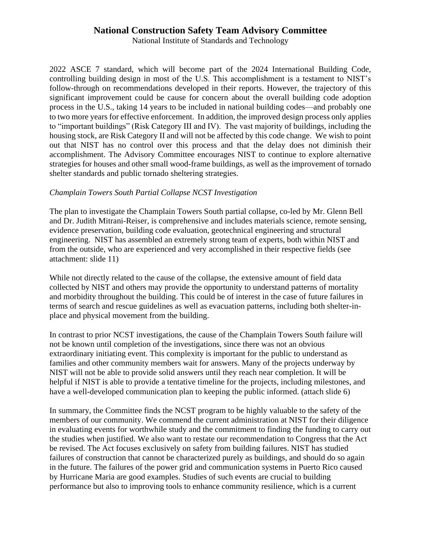National Institute of Standards and Technology

2022 ASCE 7 standard, which will become part of the 2024 International Building Code, controlling building design in most of the U.S. This accomplishment is a testament to NIST's follow-through on recommendations developed in their reports. However, the trajectory of this significant improvement could be cause for concern about the overall building code adoption process in the U.S., taking 14 years to be included in national building codes—and probably one to two more years for effective enforcement. In addition, the improved design process only applies to "important buildings" (Risk Category III and IV). The vast majority of buildings, including the housing stock, are Risk Category II and will not be affected by this code change. We wish to point out that NIST has no control over this process and that the delay does not diminish their accomplishment. The Advisory Committee encourages NIST to continue to explore alternative strategies for houses and other small wood-frame buildings, as well as the improvement of tornado shelter standards and public tornado sheltering strategies.

## *Champlain Towers South Partial Collapse NCST Investigation*

The plan to investigate the Champlain Towers South partial collapse, co-led by Mr. Glenn Bell and Dr. Judith Mitrani-Reiser, is comprehensive and includes materials science, remote sensing, evidence preservation, building code evaluation, geotechnical engineering and structural engineering. NIST has assembled an extremely strong team of experts, both within NIST and from the outside, who are experienced and very accomplished in their respective fields (see attachment: slide 11)

While not directly related to the cause of the collapse, the extensive amount of field data collected by NIST and others may provide the opportunity to understand patterns of mortality and morbidity throughout the building. This could be of interest in the case of future failures in terms of search and rescue guidelines as well as evacuation patterns, including both shelter-inplace and physical movement from the building.

In contrast to prior NCST investigations, the cause of the Champlain Towers South failure will not be known until completion of the investigations, since there was not an obvious extraordinary initiating event. This complexity is important for the public to understand as families and other community members wait for answers. Many of the projects underway by NIST will not be able to provide solid answers until they reach near completion. It will be helpful if NIST is able to provide a tentative timeline for the projects, including milestones, and have a well-developed communication plan to keeping the public informed. (attach slide 6)

In summary, the Committee finds the NCST program to be highly valuable to the safety of the members of our community. We commend the current administration at NIST for their diligence in evaluating events for worthwhile study and the commitment to finding the funding to carry out the studies when justified. We also want to restate our recommendation to Congress that the Act be revised. The Act focuses exclusively on safety from building failures. NIST has studied failures of construction that cannot be characterized purely as buildings, and should do so again in the future. The failures of the power grid and communication systems in Puerto Rico caused by Hurricane Maria are good examples. Studies of such events are crucial to building performance but also to improving tools to enhance community resilience, which is a current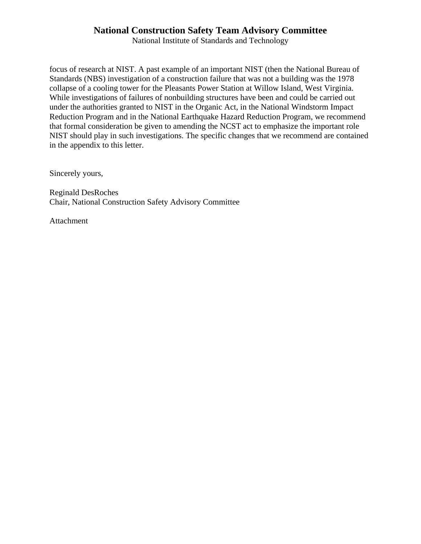National Institute of Standards and Technology

focus of research at NIST. A past example of an important NIST (then the National Bureau of Standards (NBS) investigation of a construction failure that was not a building was the 1978 collapse of a cooling tower for the Pleasants Power Station at Willow Island, West Virginia. While investigations of failures of nonbuilding structures have been and could be carried out under the authorities granted to NIST in the Organic Act, in the National Windstorm Impact Reduction Program and in the National Earthquake Hazard Reduction Program, we recommend that formal consideration be given to amending the NCST act to emphasize the important role NIST should play in such investigations. The specific changes that we recommend are contained in the appendix to this letter.

Sincerely yours,

Reginald DesRoches Chair, National Construction Safety Advisory Committee

Attachment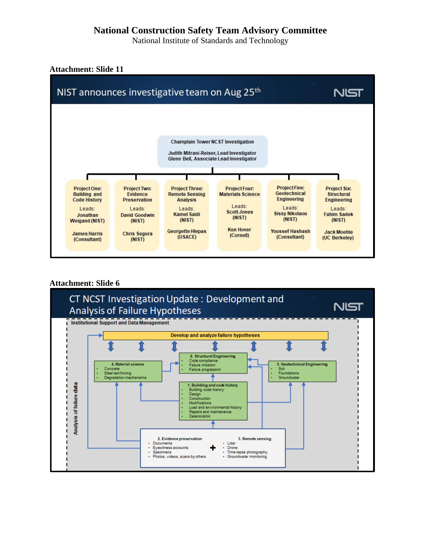National Institute of Standards and Technology

#### **Attachment: Slide 11**



## **Attachment: Slide 6**